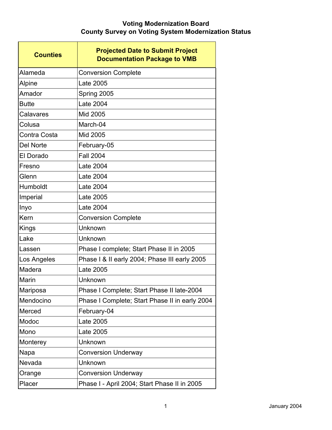| <b>Counties</b> | <b>Projected Date to Submit Project</b><br><b>Documentation Package to VMB</b> |
|-----------------|--------------------------------------------------------------------------------|
| Alameda         | <b>Conversion Complete</b>                                                     |
| Alpine          | Late 2005                                                                      |
| Amador          | Spring 2005                                                                    |
| <b>Butte</b>    | Late 2004                                                                      |
| Calavares       | Mid 2005                                                                       |
| Colusa          | March-04                                                                       |
| Contra Costa    | Mid 2005                                                                       |
| Del Norte       | February-05                                                                    |
| El Dorado       | <b>Fall 2004</b>                                                               |
| Fresno          | Late 2004                                                                      |
| Glenn           | Late 2004                                                                      |
| Humboldt        | Late 2004                                                                      |
| Imperial        | Late 2005                                                                      |
| Inyo            | Late 2004                                                                      |
| Kern            | <b>Conversion Complete</b>                                                     |
| Kings           | Unknown                                                                        |
| Lake            | Unknown                                                                        |
| Lassen          | Phase I complete; Start Phase II in 2005                                       |
| Los Angeles     | Phase I & II early 2004; Phase III early 2005                                  |
| Madera          | Late 2005                                                                      |
| Marin           | Unknown                                                                        |
| Mariposa        | Phase I Complete; Start Phase II late-2004                                     |
| Mendocino       | Phase I Complete; Start Phase II in early 2004                                 |
| Merced          | February-04                                                                    |
| Modoc           | Late 2005                                                                      |
| Mono            | Late 2005                                                                      |
| Monterey        | Unknown                                                                        |
| Napa            | <b>Conversion Underway</b>                                                     |
| Nevada          | Unknown                                                                        |
| Orange          | <b>Conversion Underway</b>                                                     |
| Placer          | Phase I - April 2004; Start Phase II in 2005                                   |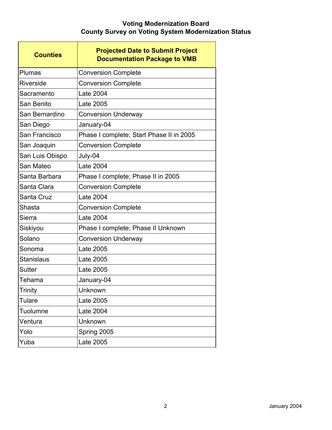| <b>Counties</b>   | <b>Projected Date to Submit Project</b><br><b>Documentation Package to VMB</b> |
|-------------------|--------------------------------------------------------------------------------|
| Plumas            | <b>Conversion Complete</b>                                                     |
| Riverside         | <b>Conversion Complete</b>                                                     |
| Sacramento        | Late 2004                                                                      |
| San Benito        | Late 2005                                                                      |
| San Bernardino    | <b>Conversion Underway</b>                                                     |
| San Diego         | January-04                                                                     |
| San Francisco     | Phase I complete; Start Phase II in 2005                                       |
| San Joaquin       | <b>Conversion Complete</b>                                                     |
| San Luis Obispo   | July-04                                                                        |
| San Mateo         | Late 2004                                                                      |
| Santa Barbara     | Phase I complete; Phase II in 2005                                             |
| Santa Clara       | <b>Conversion Complete</b>                                                     |
| Santa Cruz        | Late 2004                                                                      |
| Shasta            | <b>Conversion Complete</b>                                                     |
| Sierra            | Late 2004                                                                      |
| Siskiyou          | Phase I complete; Phase II Unknown                                             |
| Solano            | <b>Conversion Underway</b>                                                     |
| Sonoma            | Late 2005                                                                      |
| <b>Stanislaus</b> | Late 2005                                                                      |
| <b>Sutter</b>     | Late 2005                                                                      |
| Tehama            | January-04                                                                     |
| Trinity           | Unknown                                                                        |
| <b>Tulare</b>     | Late 2005                                                                      |
| Tuolumne          | Late 2004                                                                      |
| Ventura           | Unknown                                                                        |
| Yolo              | Spring 2005                                                                    |
| Yuba              | Late 2005                                                                      |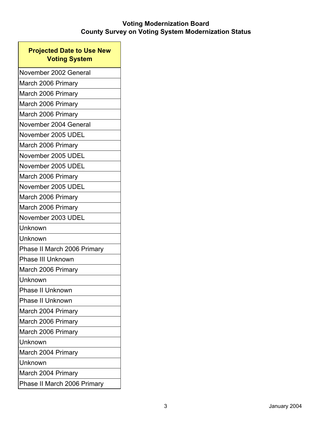$\overline{\phantom{a}}$ 

| <b>Projected Date to Use New</b><br><b>Voting System</b> |  |
|----------------------------------------------------------|--|
| November 2002 General                                    |  |
| March 2006 Primary                                       |  |
| March 2006 Primary                                       |  |
| March 2006 Primary                                       |  |
| March 2006 Primary                                       |  |
| November 2004 General                                    |  |
| November 2005 UDEL                                       |  |
| March 2006 Primary                                       |  |
| November 2005 UDEL                                       |  |
| November 2005 UDEL                                       |  |
| March 2006 Primary                                       |  |
| November 2005 UDEL                                       |  |
| March 2006 Primary                                       |  |
| March 2006 Primary                                       |  |
| November 2003 UDEL                                       |  |
| Unknown                                                  |  |
| Unknown                                                  |  |
| Phase II March 2006 Primary                              |  |
| Phase III Unknown                                        |  |
| March 2006 Primary                                       |  |
| Unknown                                                  |  |
| <b>Phase II Unknown</b>                                  |  |
| <b>Phase II Unknown</b>                                  |  |
| March 2004 Primary                                       |  |
| March 2006 Primary                                       |  |
| March 2006 Primary                                       |  |
| Unknown                                                  |  |
| March 2004 Primary                                       |  |
| Unknown                                                  |  |
| March 2004 Primary                                       |  |
| Phase II March 2006 Primary                              |  |